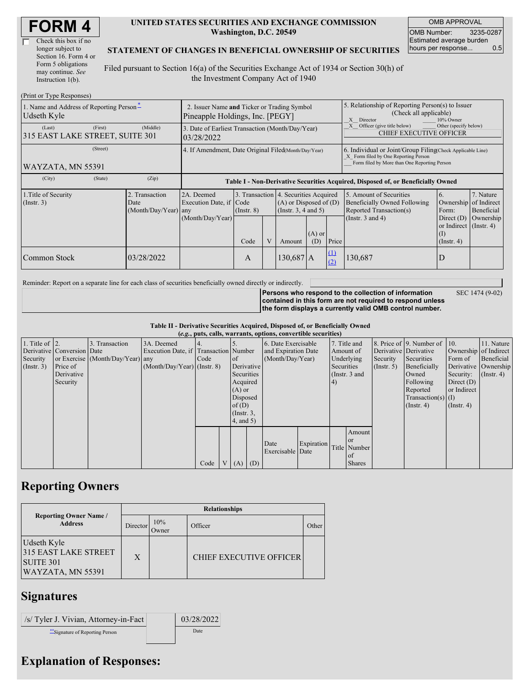| Check this box if no  |
|-----------------------|
| longer subject to     |
| Section 16. Form 4 or |
| Form 5 obligations    |
| may continue. See     |
| Instruction $1(b)$ .  |

#### **UNITED STATES SECURITIES AND EXCHANGE COMMISSION Washington, D.C. 20549**

OMB APPROVAL OMB Number: 3235-0287 Estimated average burden hours per response... 0.5

### **STATEMENT OF CHANGES IN BENEFICIAL OWNERSHIP OF SECURITIES**

Filed pursuant to Section 16(a) of the Securities Exchange Act of 1934 or Section 30(h) of the Investment Company Act of 1940

| (Print or Type Responses)                                           |                                                                                |                                                |                                                                                  |                         |              |                                                                                                                                                    |                                                                                                       |                 |                                                                                                             |                                                                                                                                        |                                      |  |
|---------------------------------------------------------------------|--------------------------------------------------------------------------------|------------------------------------------------|----------------------------------------------------------------------------------|-------------------------|--------------|----------------------------------------------------------------------------------------------------------------------------------------------------|-------------------------------------------------------------------------------------------------------|-----------------|-------------------------------------------------------------------------------------------------------------|----------------------------------------------------------------------------------------------------------------------------------------|--------------------------------------|--|
| 1. Name and Address of Reporting Person <sup>*</sup><br>Udseth Kyle | 2. Issuer Name and Ticker or Trading Symbol<br>Pineapple Holdings, Inc. [PEGY] |                                                |                                                                                  |                         |              |                                                                                                                                                    | 5. Relationship of Reporting Person(s) to Issuer<br>(Check all applicable)<br>X Director<br>10% Owner |                 |                                                                                                             |                                                                                                                                        |                                      |  |
| (Last)<br>315 EAST LAKE STREET, SUITE 301                           | (First)                                                                        | (Middle)                                       | 3. Date of Earliest Transaction (Month/Day/Year)<br>03/28/2022                   |                         |              |                                                                                                                                                    |                                                                                                       |                 | Other (specify below)<br>Officer (give title below)<br><b>CHIEF EXECUTIVE OFFICER</b>                       |                                                                                                                                        |                                      |  |
| WAYZATA, MN 55391                                                   | 4. If Amendment, Date Original Filed(Month/Day/Year)                           |                                                |                                                                                  |                         |              | 6. Individual or Joint/Group Filing Check Applicable Line)<br>X Form filed by One Reporting Person<br>Form filed by More than One Reporting Person |                                                                                                       |                 |                                                                                                             |                                                                                                                                        |                                      |  |
| (City)                                                              | (State)                                                                        | (Zip)                                          | Table I - Non-Derivative Securities Acquired, Disposed of, or Beneficially Owned |                         |              |                                                                                                                                                    |                                                                                                       |                 |                                                                                                             |                                                                                                                                        |                                      |  |
| 1. Title of Security<br>$($ Instr. 3 $)$                            |                                                                                | 2. Transaction<br>Date<br>(Month/Day/Year) any | 2A. Deemed<br>Execution Date, if Code<br>(Month/Day/Year)                        | $($ Instr. $8)$<br>Code | $\mathbf{V}$ | 3. Transaction 4. Securities Acquired<br>$(A)$ or Disposed of $(D)$<br>(Instr. $3, 4$ and $5$ )<br>$(A)$ or<br>(D)<br>Amount                       |                                                                                                       | Price           | 5. Amount of Securities<br>Beneficially Owned Following<br>Reported Transaction(s)<br>(Instr. $3$ and $4$ ) | 6.<br>Ownership of Indirect<br>Form:<br>Direct $(D)$<br>or Indirect $($ Instr. 4 $)$<br>$\left( \mathrm{I}\right)$<br>$($ Instr. 4 $)$ | 7. Nature<br>Beneficial<br>Ownership |  |
| Common Stock                                                        |                                                                                | 03/28/2022                                     |                                                                                  | A                       |              | $130,687$ A                                                                                                                                        |                                                                                                       | $\Omega$<br>(2) | 130,687                                                                                                     |                                                                                                                                        |                                      |  |

Reminder: Report on a separate line for each class of securities beneficially owned directly or indirectly.

**Persons who respond to the collection of information**

SEC 1474 (9-02)

**contained in this form are not required to respond unless the form displays a currently valid OMB control number.**

**Table II - Derivative Securities Acquired, Disposed of, or Beneficially Owned**

| (e.g., puts, calls, warrants, options, convertible securities) |                            |                                  |                                       |        |                |                  |                     |                          |              |               |               |                              |                       |                  |                      |
|----------------------------------------------------------------|----------------------------|----------------------------------|---------------------------------------|--------|----------------|------------------|---------------------|--------------------------|--------------|---------------|---------------|------------------------------|-----------------------|------------------|----------------------|
| 1. Title of $\vert$ 2.                                         |                            | 3. Transaction                   | 3A. Deemed                            |        |                |                  | 6. Date Exercisable |                          | 7. Title and |               |               | 8. Price of 9. Number of 10. |                       | 11. Nature       |                      |
|                                                                | Derivative Conversion Date |                                  | Execution Date, if Transaction Number |        |                |                  | and Expiration Date |                          | Amount of    |               |               | Derivative Derivative        | Ownership of Indirect |                  |                      |
| Security                                                       |                            | or Exercise (Month/Day/Year) any |                                       | I Code |                | <sub>of</sub>    | (Month/Day/Year)    |                          | Underlying   |               | Security      | Securities                   | Form of               | Beneficial       |                      |
| (Insert. 3)                                                    | Price of                   |                                  | $(Month/Day/Year)$ (Instr. 8)         |        |                | Derivative       |                     |                          |              | Securities    |               | (Insert, 5)                  | Beneficially          |                  | Derivative Ownership |
|                                                                | Derivative                 |                                  |                                       |        |                | Securities       |                     |                          |              | (Instr. 3 and |               |                              | Owned                 | Security:        | $($ Instr. 4)        |
|                                                                | Security                   |                                  |                                       |        |                | Acquired         |                     |                          |              | (4)           |               |                              | Following             | Direct $(D)$     |                      |
|                                                                |                            |                                  |                                       |        |                | $(A)$ or         |                     |                          |              |               |               | Reported                     | or Indirect           |                  |                      |
|                                                                |                            |                                  |                                       |        |                |                  | Disposed            |                          |              |               |               | $Transaction(s)$ (I)         |                       |                  |                      |
|                                                                |                            |                                  |                                       |        |                | of $(D)$         |                     |                          |              |               |               |                              | $($ Instr. 4 $)$      | $($ Instr. 4 $)$ |                      |
|                                                                |                            |                                  |                                       |        |                | $($ Instr. $3$ , |                     |                          |              |               |               |                              |                       |                  |                      |
|                                                                |                            |                                  |                                       |        |                | $4$ , and 5)     |                     |                          |              |               |               |                              |                       |                  |                      |
|                                                                |                            |                                  |                                       |        |                |                  |                     |                          |              |               | Amount        |                              |                       |                  |                      |
|                                                                |                            |                                  |                                       |        |                |                  |                     |                          |              |               | <b>or</b>     |                              |                       |                  |                      |
|                                                                |                            |                                  |                                       |        |                |                  |                     | Date<br>Exercisable Date | Expiration   |               | Title Number  |                              |                       |                  |                      |
|                                                                |                            |                                  |                                       |        |                |                  |                     |                          |              |               | of            |                              |                       |                  |                      |
|                                                                |                            |                                  |                                       | Code   | V <sub>1</sub> | (A)              | (D)                 |                          |              |               | <b>Shares</b> |                              |                       |                  |                      |

# **Reporting Owners**

|                                                                                     | <b>Relationships</b> |              |                                |       |  |  |  |  |  |
|-------------------------------------------------------------------------------------|----------------------|--------------|--------------------------------|-------|--|--|--|--|--|
| <b>Reporting Owner Name /</b><br><b>Address</b>                                     | <b>Director</b>      | 10%<br>Owner | Officer                        | Other |  |  |  |  |  |
| Udseth Kyle<br><b>315 EAST LAKE STREET</b><br><b>SUITE 301</b><br>WAYZATA, MN 55391 | X                    |              | <b>CHIEF EXECUTIVE OFFICER</b> |       |  |  |  |  |  |

# **Signatures**

| $\vert$ /s/ Tyler J. Vivian, Attorney-in-Fact | 03/28/2022 |
|-----------------------------------------------|------------|
| Signature of Reporting Person                 | Date       |

# **Explanation of Responses:**